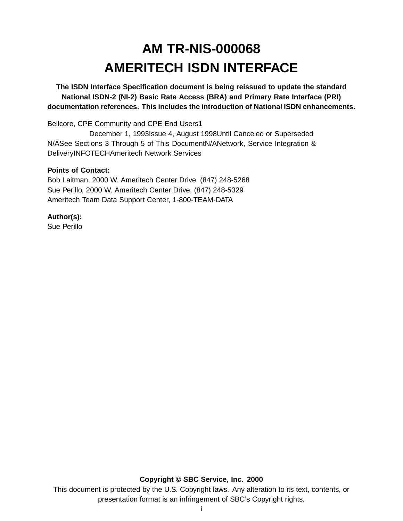# **AM TR-NIS-000068 AMERITECH ISDN INTERFACE**

**The ISDN Interface Specification document is being reissued to update the standard National ISDN-2 (NI-2) Basic Rate Access (BRA) and Primary Rate Interface (PRI) documentation references. This includes the introduction of National ISDN enhancements.**

Bellcore, CPE Community and CPE End Users1

December 1, 1993Issue 4, August 1998Until Canceled or Superseded N/ASee Sections 3 Through 5 of This DocumentN/ANetwork, Service Integration & DeliveryINFOTECHAmeritech Network Services

# **Points of Contact:**

Bob Laitman, 2000 W. Ameritech Center Drive, (847) 248-5268 Sue Perillo, 2000 W. Ameritech Center Drive, (847) 248-5329 Ameritech Team Data Support Center, 1-800-TEAM-DATA

# **Author(s):**

Sue Perillo

**Copyright © SBC Service, Inc. 2000**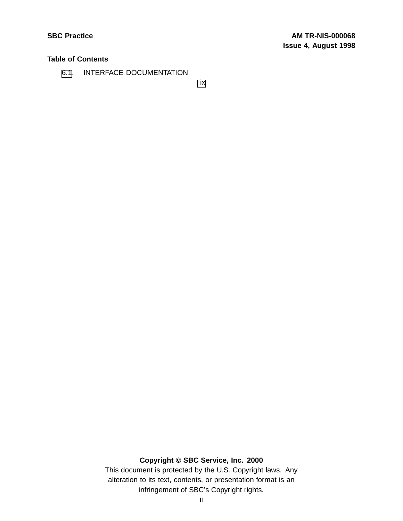# **Table of Contents**

[6.1](#page-8-0). INTERFACE DOCUMENTATION

[ix](#page-8-0)

# **Copyright © SBC Service, Inc. 2000**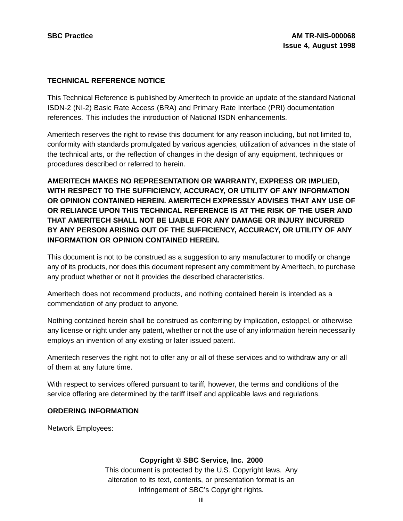# **TECHNICAL REFERENCE NOTICE**

This Technical Reference is published by Ameritech to provide an update of the standard National ISDN-2 (NI-2) Basic Rate Access (BRA) and Primary Rate Interface (PRI) documentation references. This includes the introduction of National ISDN enhancements.

Ameritech reserves the right to revise this document for any reason including, but not limited to, conformity with standards promulgated by various agencies, utilization of advances in the state of the technical arts, or the reflection of changes in the design of any equipment, techniques or procedures described or referred to herein.

**AMERITECH MAKES NO REPRESENTATION OR WARRANTY, EXPRESS OR IMPLIED, WITH RESPECT TO THE SUFFICIENCY, ACCURACY, OR UTILITY OF ANY INFORMATION OR OPINION CONTAINED HEREIN. AMERITECH EXPRESSLY ADVISES THAT ANY USE OF OR RELIANCE UPON THIS TECHNICAL REFERENCE IS AT THE RISK OF THE USER AND THAT AMERITECH SHALL NOT BE LIABLE FOR ANY DAMAGE OR INJURY INCURRED BY ANY PERSON ARISING OUT OF THE SUFFICIENCY, ACCURACY, OR UTILITY OF ANY INFORMATION OR OPINION CONTAINED HEREIN.**

This document is not to be construed as a suggestion to any manufacturer to modify or change any of its products, nor does this document represent any commitment by Ameritech, to purchase any product whether or not it provides the described characteristics.

Ameritech does not recommend products, and nothing contained herein is intended as a commendation of any product to anyone.

Nothing contained herein shall be construed as conferring by implication, estoppel, or otherwise any license or right under any patent, whether or not the use of any information herein necessarily employs an invention of any existing or later issued patent.

Ameritech reserves the right not to offer any or all of these services and to withdraw any or all of them at any future time.

With respect to services offered pursuant to tariff, however, the terms and conditions of the service offering are determined by the tariff itself and applicable laws and regulations.

# **ORDERING INFORMATION**

Network Employees:

# **Copyright © SBC Service, Inc. 2000**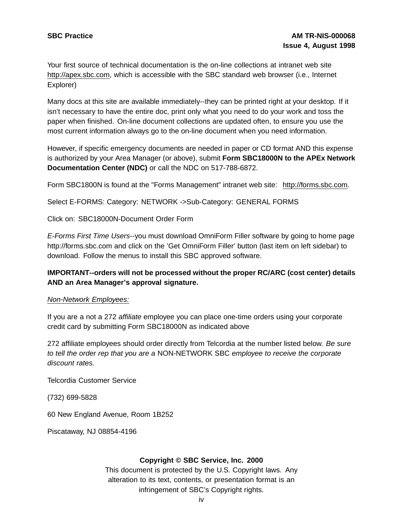Your first source of technical documentation is the on-line collections at intranet web site http://apex.sbc.com, which is accessible with the SBC standard web browser (i.e., Internet Explorer)

Many docs at this site are available immediately--they can be printed right at your desktop. If it isn't necessary to have the entire doc, print only what you need to do your work and toss the paper when finished. On-line document collections are updated often, to ensure you use the most current information always go to the on-line document when you need information.

However, if specific emergency documents are needed in paper or CD format AND this expense is authorized by your Area Manager (or above), submit **Form SBC18000N to the APEx Network Documentation Center (NDC)** or call the NDC on 517-788-6872.

Form SBC1800N is found at the "Forms Management" intranet web site: http://forms.sbc.com.

Select E-FORMS: Category: NETWORK ->Sub-Category: GENERAL FORMS

Click on: SBC18000N-Document Order Form

E-Forms First Time Users--you must download OmniForm Filler software by going to home page http://forms.sbc.com and click on the 'Get OmniForm Filler' button (last item on left sidebar) to download. Follow the menus to install this SBC approved software.

# **IMPORTANT--orders will not be processed without the proper RC/ARC (cost center) details AND an Area Manager's approval signature.**

#### Non-Network Employees:

If you are a not a 272 affiliate employee you can place one-time orders using your corporate credit card by submitting Form SBC18000N as indicated above

272 affiliate employees should order directly from Telcordia at the number listed below. Be sure to tell the order rep that you are a NON-NETWORK SBC employee to receive the corporate discount rates.

Telcordia Customer Service

(732) 699-5828

60 New England Avenue, Room 1B252

Piscataway, NJ 08854-4196

# **Copyright © SBC Service, Inc. 2000**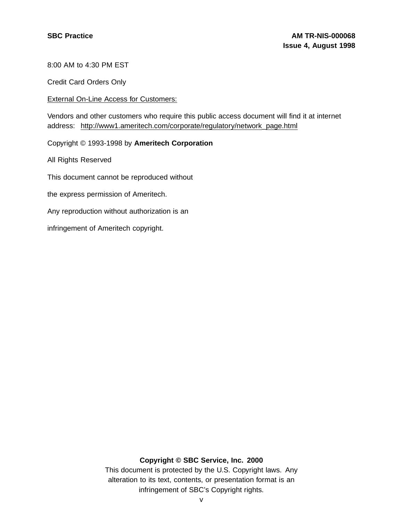8:00 AM to 4:30 PM EST

Credit Card Orders Only

External On-Line Access for Customers:

Vendors and other customers who require this public access document will find it at internet address: http://www1.ameritech.com/corporate/regulatory/network\_page.html

Copyright © 1993-1998 by **Ameritech Corporation**

All Rights Reserved

This document cannot be reproduced without

the express permission of Ameritech.

Any reproduction without authorization is an

infringement of Ameritech copyright.

# **Copyright © SBC Service, Inc. 2000**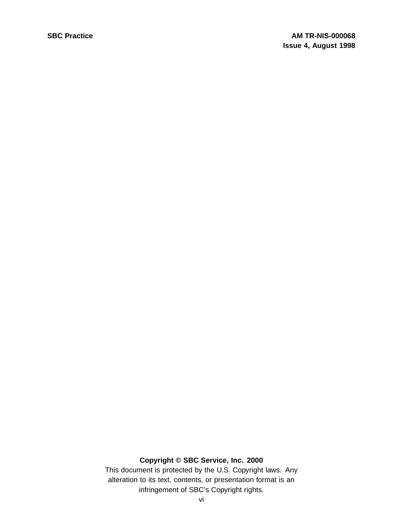# **Copyright © SBC Service, Inc. 2000**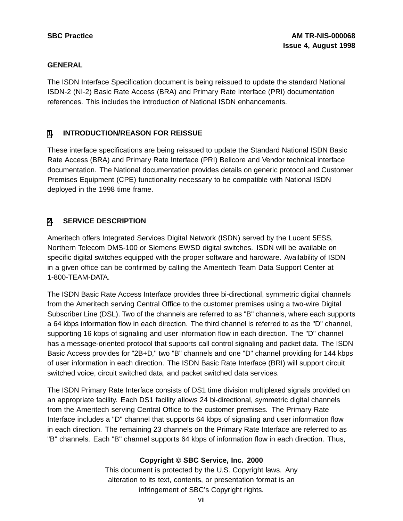# **GENERAL**

The ISDN Interface Specification document is being reissued to update the standard National ISDN-2 (NI-2) Basic Rate Access (BRA) and Primary Rate Interface (PRI) documentation references. This includes the introduction of National ISDN enhancements.

# **[1](#page-6-0). INTRODUCTION/REASON FOR REISSUE**

These interface specifications are being reissued to update the Standard National ISDN Basic Rate Access (BRA) and Primary Rate Interface (PRI) Bellcore and Vendor technical interface documentation. The National documentation provides details on generic protocol and Customer Premises Equipment (CPE) functionality necessary to be compatible with National ISDN deployed in the 1998 time frame.

# **[2](#page-6-0). SERVICE DESCRIPTION**

Ameritech offers Integrated Services Digital Network (ISDN) served by the Lucent 5ESS, Northern Telecom DMS-100 or Siemens EWSD digital switches. ISDN will be available on specific digital switches equipped with the proper software and hardware. Availability of ISDN in a given office can be confirmed by calling the Ameritech Team Data Support Center at 1-800-TEAM-DATA.

The ISDN Basic Rate Access Interface provides three bi-directional, symmetric digital channels from the Ameritech serving Central Office to the customer premises using a two-wire Digital Subscriber Line (DSL). Two of the channels are referred to as "B" channels, where each supports a 64 kbps information flow in each direction. The third channel is referred to as the "D" channel, supporting 16 kbps of signaling and user information flow in each direction. The "D" channel has a message-oriented protocol that supports call control signaling and packet data. The ISDN Basic Access provides for "2B+D," two "B" channels and one "D" channel providing for 144 kbps of user information in each direction. The ISDN Basic Rate Interface (BRI) will support circuit switched voice, circuit switched data, and packet switched data services.

<span id="page-6-0"></span>The ISDN Primary Rate Interface consists of DS1 time division multiplexed signals provided on an appropriate facility. Each DS1 facility allows 24 bi-directional, symmetric digital channels from the Ameritech serving Central Office to the customer premises. The Primary Rate Interface includes a "D" channel that supports 64 kbps of signaling and user information flow in each direction. The remaining 23 channels on the Primary Rate Interface are referred to as "B" channels. Each "B" channel supports 64 kbps of information flow in each direction. Thus,

# **Copyright © SBC Service, Inc. 2000**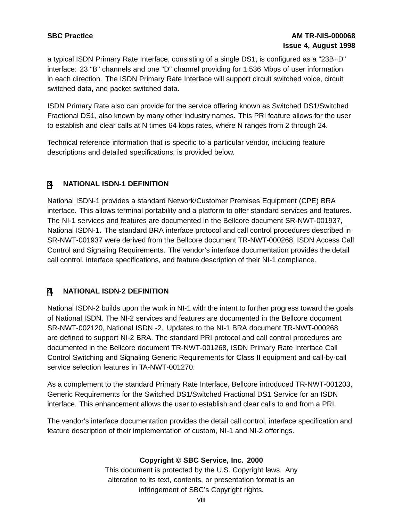# **SBC Practice AM TR-NIS-000068 Issue 4, August 1998**

a typical ISDN Primary Rate Interface, consisting of a single DS1, is configured as a "23B+D" interface: 23 "B" channels and one "D" channel providing for 1.536 Mbps of user information in each direction. The ISDN Primary Rate Interface will support circuit switched voice, circuit switched data, and packet switched data.

ISDN Primary Rate also can provide for the service offering known as Switched DS1/Switched Fractional DS1, also known by many other industry names. This PRI feature allows for the user to establish and clear calls at N times 64 kbps rates, where N ranges from 2 through 24.

Technical reference information that is specific to a particular vendor, including feature descriptions and detailed specifications, is provided below.

# **[3](#page-7-0). NATIONAL ISDN-1 DEFINITION**

National ISDN-1 provides a standard Network/Customer Premises Equipment (CPE) BRA interface. This allows terminal portability and a platform to offer standard services and features. The NI-1 services and features are documented in the Bellcore document SR-NWT-001937, National ISDN-1. The standard BRA interface protocol and call control procedures described in SR-NWT-001937 were derived from the Bellcore document TR-NWT-000268, ISDN Access Call Control and Signaling Requirements. The vendor's interface documentation provides the detail call control, interface specifications, and feature description of their NI-1 compliance.

# **[4](#page-7-0). NATIONAL ISDN-2 DEFINITION**

National ISDN-2 builds upon the work in NI-1 with the intent to further progress toward the goals of National ISDN. The NI-2 services and features are documented in the Bellcore document SR-NWT-002120, National ISDN -2. Updates to the NI-1 BRA document TR-NWT-000268 are defined to support NI-2 BRA. The standard PRI protocol and call control procedures are documented in the Bellcore document TR-NWT-001268, ISDN Primary Rate Interface Call Control Switching and Signaling Generic Requirements for Class II equipment and call-by-call service selection features in TA-NWT-001270.

As a complement to the standard Primary Rate Interface, Bellcore introduced TR-NWT-001203, Generic Requirements for the Switched DS1/Switched Fractional DS1 Service for an ISDN interface. This enhancement allows the user to establish and clear calls to and from a PRI.

<span id="page-7-0"></span>The vendor's interface documentation provides the detail call control, interface specification and feature description of their implementation of custom, NI-1 and NI-2 offerings.

# **Copyright © SBC Service, Inc. 2000**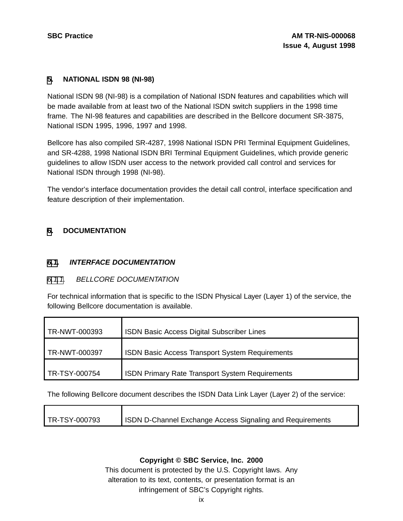#### **[5](#page-8-0). NATIONAL ISDN 98 (NI-98)**

National ISDN 98 (NI-98) is a compilation of National ISDN features and capabilities which will be made available from at least two of the National ISDN switch suppliers in the 1998 time frame. The NI-98 features and capabilities are described in the Bellcore document SR-3875, National ISDN 1995, 1996, 1997 and 1998.

Bellcore has also compiled SR-4287, 1998 National ISDN PRI Terminal Equipment Guidelines, and SR-4288, 1998 National ISDN BRI Terminal Equipment Guidelines, which provide generic guidelines to allow ISDN user access to the network provided call control and services for National ISDN through 1998 (NI-98).

The vendor's interface documentation provides the detail call control, interface specification and feature description of their implementation.

#### **[6](#page-8-0). DOCUMENTATION**

#### **[6.1](#page-8-0). INTERFACE DOCUMENTATION**

#### [6.1.1](#page-8-0). BELLCORE DOCUMENTATION

For technical information that is specific to the ISDN Physical Layer (Layer 1) of the service, the following Bellcore documentation is available.

| TR-NWT-000393 | <b>ISDN Basic Access Digital Subscriber Lines</b>      |
|---------------|--------------------------------------------------------|
| TR-NWT-000397 | <b>ISDN Basic Access Transport System Requirements</b> |
| TR-TSY-000754 | <b>ISDN Primary Rate Transport System Requirements</b> |

The following Bellcore document describes the ISDN Data Link Layer (Layer 2) of the service:

<span id="page-8-0"></span>

| TR-TSY-000793 | <b>ISDN D-Channel Exchange Access Signaling and Requirements</b> |
|---------------|------------------------------------------------------------------|

# **Copyright © SBC Service, Inc. 2000**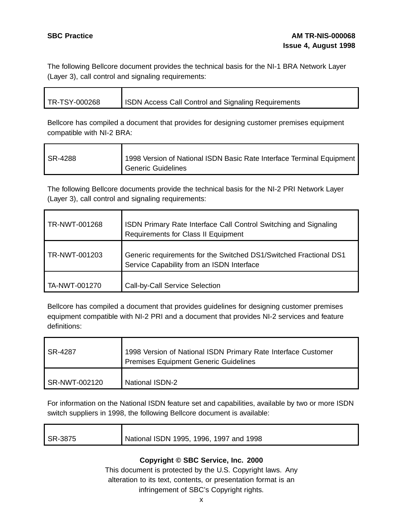The following Bellcore document provides the technical basis for the NI-1 BRA Network Layer (Layer 3), call control and signaling requirements:

| TR-TSY-000268 | <b>ISDN Access Call Control and Signaling Requirements</b> |
|---------------|------------------------------------------------------------|

Bellcore has compiled a document that provides for designing customer premises equipment compatible with NI-2 BRA:

| SR-4288 | 1998 Version of National ISDN Basic Rate Interface Terminal Equipment<br><b>Generic Guidelines</b> |
|---------|----------------------------------------------------------------------------------------------------|
|         |                                                                                                    |

The following Bellcore documents provide the technical basis for the NI-2 PRI Network Layer (Layer 3), call control and signaling requirements:

| TR-NWT-001268 | ISDN Primary Rate Interface Call Control Switching and Signaling<br>Requirements for Class II Equipment        |
|---------------|----------------------------------------------------------------------------------------------------------------|
| TR-NWT-001203 | Generic requirements for the Switched DS1/Switched Fractional DS1<br>Service Capability from an ISDN Interface |
| TA-NWT-001270 | Call-by-Call Service Selection                                                                                 |

Bellcore has compiled a document that provides guidelines for designing customer premises equipment compatible with NI-2 PRI and a document that provides NI-2 services and feature definitions:

| SR-4287       | 1998 Version of National ISDN Primary Rate Interface Customer<br><b>Premises Equipment Generic Guidelines</b> |
|---------------|---------------------------------------------------------------------------------------------------------------|
| SR-NWT-002120 | <b>National ISDN-2</b>                                                                                        |

For information on the National ISDN feature set and capabilities, available by two or more ISDN switch suppliers in 1998, the following Bellcore document is available:

| SR-3875 | I National ISDN 1995, 1996, 1997 and 1998 |
|---------|-------------------------------------------|
|         |                                           |

# **Copyright © SBC Service, Inc. 2000**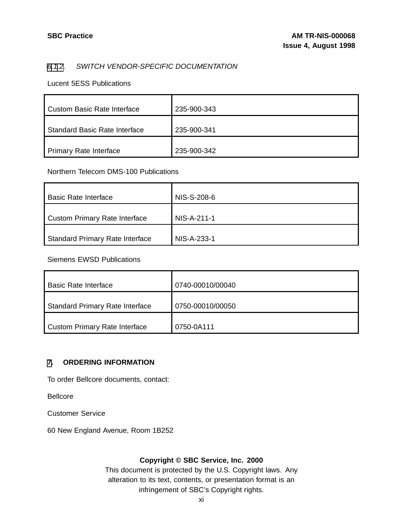# [6.1](#page-8-0)[.2](#page-10-0). SWITCH VENDOR-SPECIFIC DOCUMENTATION

Lucent 5ESS Publications

| Custom Basic Rate Interface          | 235-900-343 |
|--------------------------------------|-------------|
| <b>Standard Basic Rate Interface</b> | 235-900-341 |
| <b>Primary Rate Interface</b>        | 235-900-342 |

# Northern Telecom DMS-100 Publications

| <b>Basic Rate Interface</b>            | NIS-S-208-6 |
|----------------------------------------|-------------|
| <b>Custom Primary Rate Interface</b>   | NIS-A-211-1 |
| <b>Standard Primary Rate Interface</b> | NIS-A-233-1 |

# Siemens EWSD Publications

| <b>Basic Rate Interface</b>            | 0740-00010/00040 |
|----------------------------------------|------------------|
| <b>Standard Primary Rate Interface</b> | 0750-00010/00050 |
| <b>Custom Primary Rate Interface</b>   | 0750-0A111       |

# **[7](#page-10-0). ORDERING INFORMATION**

To order Bellcore documents, contact:

Bellcore

Customer Service

<span id="page-10-0"></span>60 New England Avenue, Room 1B252

# **Copyright © SBC Service, Inc. 2000**